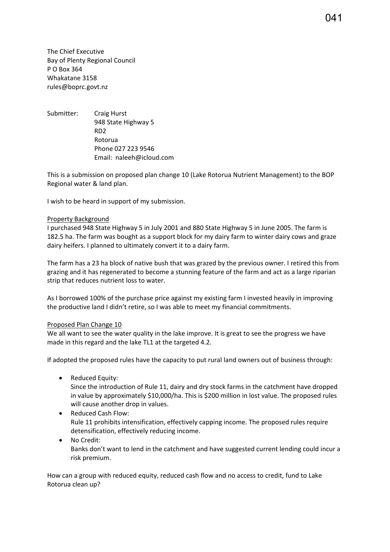The Chief Executive Bay of Plenty Regional Council P O Box 364 Whakatane 3158 rules@boprc.govt.nz

Submitter: Craig Hurst 948 State Highway 5 RD2 Rotorua Phone 027 223 9546 Email: naleeh@icloud.com

This is a submission on proposed plan change 10 (Lake Rotorua Nutrient Management) to the BOP Regional water & land plan.

I wish to be heard in support of my submission.

## Property Background

I purchased 948 State Highway 5 in July 2001 and 880 State Highway 5 in June 2005. The farm is 182.5 ha. The farm was bought as a support block for my dairy farm to winter dairy cows and graze dairy heifers. I planned to ultimately convert it to a dairy farm.

The farm has a 23 ha block of native bush that was grazed by the previous owner. I retired this from grazing and it has regenerated to become a stunning feature of the farm and act as a large riparian strip that reduces nutrient loss to water.

As I borrowed 100% of the purchase price against my existing farm I invested heavily in improving the productive land I didn't retire, so I was able to meet my financial commitments.

## Proposed Plan Change 10

We all want to see the water quality in the lake improve. It is great to see the progress we have made in this regard and the lake TL1 at the targeted 4.2.

If adopted the proposed rules have the capacity to put rural land owners out of business through:

• Reduced Equity:

Since the introduction of Rule 11, dairy and dry stock farms in the catchment have dropped in value by approximately \$10,000/ha. This is \$200 million in lost value. The proposed rules will cause another drop in values.

• Reduced Cash Flow:

Rule 11 prohibits intensification, effectively capping income. The proposed rules require detensification, effectively reducing income.

• No Credit: Banks don't want to lend in the catchment and have suggested current lending could incur a risk premium.

How can a group with reduced equity, reduced cash flow and no access to credit, fund to Lake Rotorua clean up?